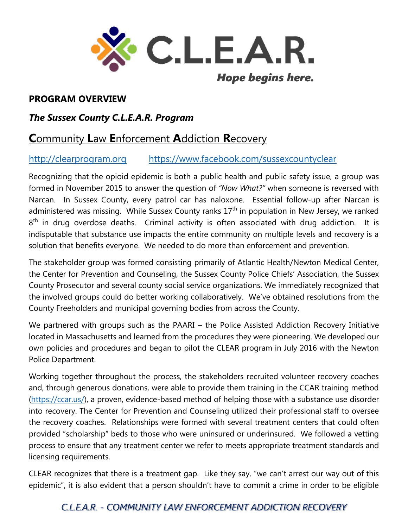

## **PROGRAM OVERVIEW**

## *The Sussex County C.L.E.A.R. Program*

# **C**ommunity **L**aw **E**nforcement **A**ddiction **R**ecovery

## [http://clearprogram.org](http://clearprogram.org/) <https://www.facebook.com/sussexcountyclear>

Recognizing that the opioid epidemic is both a public health and public safety issue, a group was formed in November 2015 to answer the question of *"Now What?"* when someone is reversed with Narcan. In Sussex County, every patrol car has naloxone. Essential follow-up after Narcan is administered was missing. While Sussex County ranks 17<sup>th</sup> in population in New Jersey, we ranked 8<sup>th</sup> in drug overdose deaths. Criminal activity is often associated with drug addiction. It is indisputable that substance use impacts the entire community on multiple levels and recovery is a solution that benefits everyone. We needed to do more than enforcement and prevention.

The stakeholder group was formed consisting primarily of Atlantic Health/Newton Medical Center, the Center for Prevention and Counseling, the Sussex County Police Chiefs' Association, the Sussex County Prosecutor and several county social service organizations. We immediately recognized that the involved groups could do better working collaboratively. We've obtained resolutions from the County Freeholders and municipal governing bodies from across the County.

We partnered with groups such as the PAARI – the Police Assisted Addiction Recovery Initiative located in Massachusetts and learned from the procedures they were pioneering. We developed our own policies and procedures and began to pilot the CLEAR program in July 2016 with the Newton Police Department.

Working together throughout the process, the stakeholders recruited volunteer recovery coaches and, through generous donations, were able to provide them training in the CCAR training method [\(https://ccar.us/\)](https://ccar.us/), a proven, evidence-based method of helping those with a substance use disorder into recovery. The Center for Prevention and Counseling utilized their professional staff to oversee the recovery coaches. Relationships were formed with several treatment centers that could often provided "scholarship" beds to those who were uninsured or underinsured. We followed a vetting process to ensure that any treatment center we refer to meets appropriate treatment standards and licensing requirements.

CLEAR recognizes that there is a treatment gap. Like they say, "we can't arrest our way out of this epidemic", it is also evident that a person shouldn't have to commit a crime in order to be eligible

# *C.L.E.A.R. - COMMUNITY LAW ENFORCEMENT ADDICTION RECOVERY*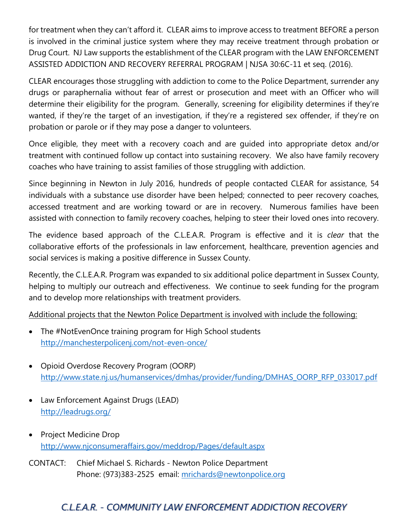for treatment when they can't afford it. CLEAR aims to improve access to treatment BEFORE a person is involved in the criminal justice system where they may receive treatment through probation or Drug Court. NJ Law supports the establishment of the CLEAR program with the LAW ENFORCEMENT ASSISTED ADDICTION AND RECOVERY REFERRAL PROGRAM | NJSA 30:6C-11 et seq. (2016).

CLEAR encourages those struggling with addiction to come to the Police Department, surrender any drugs or paraphernalia without fear of arrest or prosecution and meet with an Officer who will determine their eligibility for the program. Generally, screening for eligibility determines if they're wanted, if they're the target of an investigation, if they're a registered sex offender, if they're on probation or parole or if they may pose a danger to volunteers.

Once eligible, they meet with a recovery coach and are guided into appropriate detox and/or treatment with continued follow up contact into sustaining recovery. We also have family recovery coaches who have training to assist families of those struggling with addiction.

Since beginning in Newton in July 2016, hundreds of people contacted CLEAR for assistance, 54 individuals with a substance use disorder have been helped; connected to peer recovery coaches, accessed treatment and are working toward or are in recovery. Numerous families have been assisted with connection to family recovery coaches, helping to steer their loved ones into recovery.

The evidence based approach of the C.L.E.A.R. Program is effective and it is *clear* that the collaborative efforts of the professionals in law enforcement, healthcare, prevention agencies and social services is making a positive difference in Sussex County.

Recently, the C.L.E.A.R. Program was expanded to six additional police department in Sussex County, helping to multiply our outreach and effectiveness. We continue to seek funding for the program and to develop more relationships with treatment providers.

Additional projects that the Newton Police Department is involved with include the following:

- The #NotEvenOnce training program for High School students <http://manchesterpolicenj.com/not-even-once/>
- Opioid Overdose Recovery Program (OORP) [http://www.state.nj.us/humanservices/dmhas/provider/funding/DMHAS\\_OORP\\_RFP\\_033017.pdf](http://www.state.nj.us/humanservices/dmhas/provider/funding/DMHAS_OORP_RFP_033017.pdf)
- Law Enforcement Against Drugs (LEAD) <http://leadrugs.org/>
- Project Medicine Drop <http://www.njconsumeraffairs.gov/meddrop/Pages/default.aspx>
- CONTACT: Chief Michael S. Richards Newton Police Department Phone: (973)383-2525 email: [mrichards@newtonpolice.org](mailto:mrichards@newtonpolice.org)

# *C.L.E.A.R. - COMMUNITY LAW ENFORCEMENT ADDICTION RECOVERY*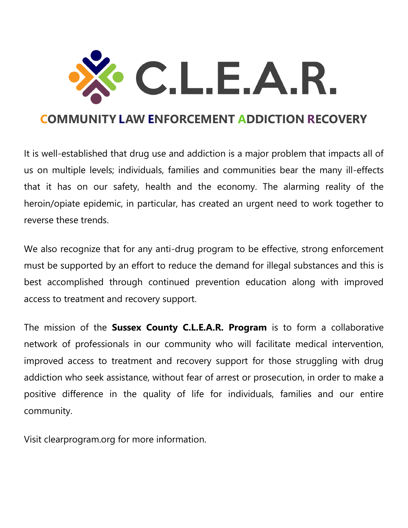

# **COMMUNITY LAW ENFORCEMENT ADDICTION RECOVERY**

It is well-established that drug use and addiction is a major problem that impacts all of us on multiple levels; individuals, families and communities bear the many ill-effects that it has on our safety, health and the economy. The alarming reality of the heroin/opiate epidemic, in particular, has created an urgent need to work together to reverse these trends.

We also recognize that for any anti-drug program to be effective, strong enforcement must be supported by an effort to reduce the demand for illegal substances and this is best accomplished through continued prevention education along with improved access to treatment and recovery support.

The mission of the **Sussex County C.L.E.A.R. Program** is to form a collaborative network of professionals in our community who will facilitate medical intervention, improved access to treatment and recovery support for those struggling with drug addiction who seek assistance, without fear of arrest or prosecution, in order to make a positive difference in the quality of life for individuals, families and our entire community.

Visit clearprogram.org for more information.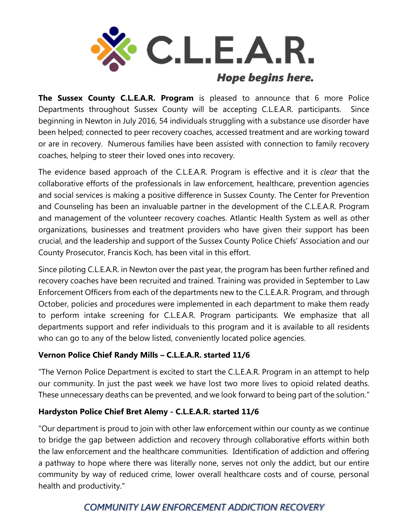

**The Sussex County C.L.E.A.R. Program** is pleased to announce that 6 more Police Departments throughout Sussex County will be accepting C.L.E.A.R. participants. Since beginning in Newton in July 2016, 54 individuals struggling with a substance use disorder have been helped; connected to peer recovery coaches, accessed treatment and are working toward or are in recovery. Numerous families have been assisted with connection to family recovery coaches, helping to steer their loved ones into recovery.

The evidence based approach of the C.L.E.A.R. Program is effective and it is *clear* that the collaborative efforts of the professionals in law enforcement, healthcare, prevention agencies and social services is making a positive difference in Sussex County. The Center for Prevention and Counseling has been an invaluable partner in the development of the C.L.E.A.R. Program and management of the volunteer recovery coaches. Atlantic Health System as well as other organizations, businesses and treatment providers who have given their support has been crucial, and the leadership and support of the Sussex County Police Chiefs' Association and our County Prosecutor, Francis Koch, has been vital in this effort.

Since piloting C.L.E.A.R. in Newton over the past year, the program has been further refined and recovery coaches have been recruited and trained. Training was provided in September to Law Enforcement Officers from each of the departments new to the C.L.E.A.R. Program, and through October, policies and procedures were implemented in each department to make them ready to perform intake screening for C.L.E.A.R. Program participants. We emphasize that all departments support and refer individuals to this program and it is available to all residents who can go to any of the below listed, conveniently located police agencies.

## **Vernon Police Chief Randy Mills – C.L.E.A.R. started 11/6**

"The Vernon Police Department is excited to start the C.L.E.A.R. Program in an attempt to help our community. In just the past week we have lost two more lives to opioid related deaths. These unnecessary deaths can be prevented, and we look forward to being part of the solution."

## **Hardyston Police Chief Bret Alemy - C.L.E.A.R. started 11/6**

"Our department is proud to join with other law enforcement within our county as we continue to bridge the gap between addiction and recovery through collaborative efforts within both the law enforcement and the healthcare communities. Identification of addiction and offering a pathway to hope where there was literally none, serves not only the addict, but our entire community by way of reduced crime, lower overall healthcare costs and of course, personal health and productivity."

# *COMMUNITY LAW ENFORCEMENT ADDICTION RECOVERY*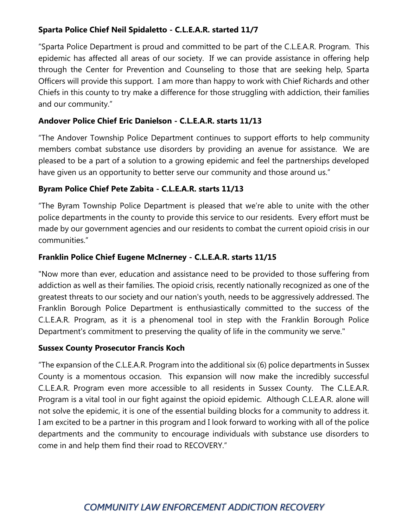## **Sparta Police Chief Neil Spidaletto - C.L.E.A.R. started 11/7**

"Sparta Police Department is proud and committed to be part of the C.L.E.A.R. Program. This epidemic has affected all areas of our society. If we can provide assistance in offering help through the Center for Prevention and Counseling to those that are seeking help, Sparta Officers will provide this support. I am more than happy to work with Chief Richards and other Chiefs in this county to try make a difference for those struggling with addiction, their families and our community."

## **Andover Police Chief Eric Danielson - C.L.E.A.R. starts 11/13**

"The Andover Township Police Department continues to support efforts to help community members combat substance use disorders by providing an avenue for assistance. We are pleased to be a part of a solution to a growing epidemic and feel the partnerships developed have given us an opportunity to better serve our community and those around us."

## **Byram Police Chief Pete Zabita - C.L.E.A.R. starts 11/13**

"The Byram Township Police Department is pleased that we're able to unite with the other police departments in the county to provide this service to our residents. Every effort must be made by our government agencies and our residents to combat the current opioid crisis in our communities."

### **Franklin Police Chief Eugene McInerney - C.L.E.A.R. starts 11/15**

"Now more than ever, education and assistance need to be provided to those suffering from addiction as well as their families. The opioid crisis, recently nationally recognized as one of the greatest threats to our society and our nation's youth, needs to be aggressively addressed. The Franklin Borough Police Department is enthusiastically committed to the success of the C.L.E.A.R. Program, as it is a phenomenal tool in step with the Franklin Borough Police Department's commitment to preserving the quality of life in the community we serve."

### **Sussex County Prosecutor Francis Koch**

"The expansion of the C.L.E.A.R. Program into the additional six (6) police departments in Sussex County is a momentous occasion. This expansion will now make the incredibly successful C.L.E.A.R. Program even more accessible to all residents in Sussex County. The C.L.E.A.R. Program is a vital tool in our fight against the opioid epidemic. Although C.L.E.A.R. alone will not solve the epidemic, it is one of the essential building blocks for a community to address it. I am excited to be a partner in this program and I look forward to working with all of the police departments and the community to encourage individuals with substance use disorders to come in and help them find their road to RECOVERY."

# *COMMUNITY LAW ENFORCEMENT ADDICTION RECOVERY*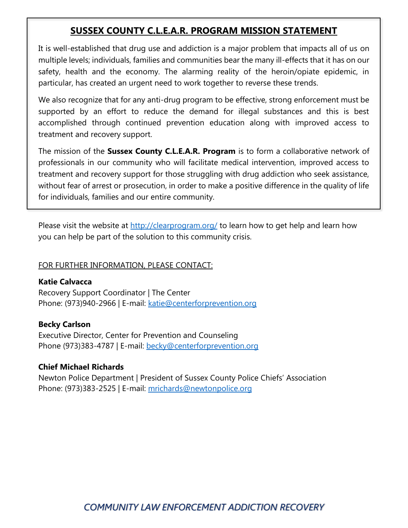## **SUSSEX COUNTY C.L.E.A.R. PROGRAM MISSION STATEMENT**

It is well-established that drug use and addiction is a major problem that impacts all of us on multiple levels; individuals, families and communities bear the many ill-effects that it has on our safety, health and the economy. The alarming reality of the heroin/opiate epidemic, in particular, has created an urgent need to work together to reverse these trends.

We also recognize that for any anti-drug program to be effective, strong enforcement must be supported by an effort to reduce the demand for illegal substances and this is best accomplished through continued prevention education along with improved access to treatment and recovery support.

The mission of the **Sussex County C.L.E.A.R. Program** is to form a collaborative network of professionals in our community who will facilitate medical intervention, improved access to treatment and recovery support for those struggling with drug addiction who seek assistance, without fear of arrest or prosecution, in order to make a positive difference in the quality of life for individuals, families and our entire community.

Please visit the website at<http://clearprogram.org/> to learn how to get help and learn how you can help be part of the solution to this community crisis.

### FOR FURTHER INFORMATION, PLEASE CONTACT:

**Katie Calvacca** Recovery Support Coordinator | The Center Phone: (973)940-2966 | E-mail: [katie@centerforprevention.org](mailto:katie@centerforprevention.org)

**Becky Carlson** Executive Director, Center for Prevention and Counseling Phone (973)383-4787 | E-mail: [becky@centerforprevention.org](mailto:becky@centerforprevention.org)

### **Chief Michael Richards**

Newton Police Department | President of Sussex County Police Chiefs' Association Phone: (973)383-2525 | E-mail: [mrichards@newtonpolice.org](mailto:mrichards@newtonpolice.org)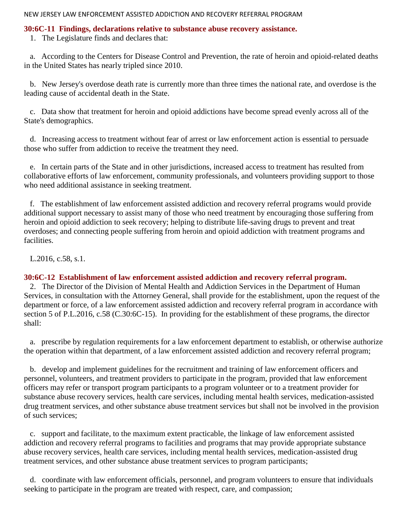#### **30:6C-11 Findings, declarations relative to substance abuse recovery assistance.**

1. The Legislature finds and declares that:

 a. According to the Centers for Disease Control and Prevention, the rate of heroin and opioid-related deaths in the United States has nearly tripled since 2010.

 b. New Jersey's overdose death rate is currently more than three times the national rate, and overdose is the leading cause of accidental death in the State.

 c. Data show that treatment for heroin and opioid addictions have become spread evenly across all of the State's demographics.

 d. Increasing access to treatment without fear of arrest or law enforcement action is essential to persuade those who suffer from addiction to receive the treatment they need.

 e. In certain parts of the State and in other jurisdictions, increased access to treatment has resulted from collaborative efforts of law enforcement, community professionals, and volunteers providing support to those who need additional assistance in seeking treatment.

 f. The establishment of law enforcement assisted addiction and recovery referral programs would provide additional support necessary to assist many of those who need treatment by encouraging those suffering from heroin and opioid addiction to seek recovery; helping to distribute life-saving drugs to prevent and treat overdoses; and connecting people suffering from heroin and opioid addiction with treatment programs and facilities.

L.2016, c.58, s.1.

### **30:6C-12 Establishment of law enforcement assisted addiction and recovery referral program.**

 2. The Director of the Division of Mental Health and Addiction Services in the Department of Human Services, in consultation with the Attorney General, shall provide for the establishment, upon the request of the department or force, of a law enforcement assisted addiction and recovery referral program in accordance with section 5 of P.L.2016, c.58 (C.30:6C-15). In providing for the establishment of these programs, the director shall:

 a. prescribe by regulation requirements for a law enforcement department to establish, or otherwise authorize the operation within that department, of a law enforcement assisted addiction and recovery referral program;

 b. develop and implement guidelines for the recruitment and training of law enforcement officers and personnel, volunteers, and treatment providers to participate in the program, provided that law enforcement officers may refer or transport program participants to a program volunteer or to a treatment provider for substance abuse recovery services, health care services, including mental health services, medication-assisted drug treatment services, and other substance abuse treatment services but shall not be involved in the provision of such services;

 c. support and facilitate, to the maximum extent practicable, the linkage of law enforcement assisted addiction and recovery referral programs to facilities and programs that may provide appropriate substance abuse recovery services, health care services, including mental health services, medication-assisted drug treatment services, and other substance abuse treatment services to program participants;

 d. coordinate with law enforcement officials, personnel, and program volunteers to ensure that individuals seeking to participate in the program are treated with respect, care, and compassion;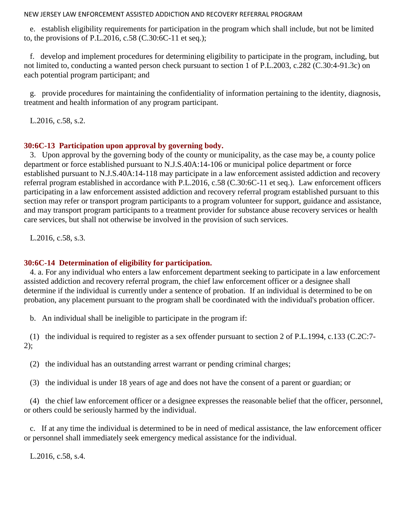e. establish eligibility requirements for participation in the program which shall include, but not be limited to, the provisions of P.L.2016, c.58 (C.30:6C-11 et seq.);

 f. develop and implement procedures for determining eligibility to participate in the program, including, but not limited to, conducting a wanted person check pursuant to section 1 of P.L.2003, c.282 (C.30:4-91.3c) on each potential program participant; and

 g. provide procedures for maintaining the confidentiality of information pertaining to the identity, diagnosis, treatment and health information of any program participant.

L.2016, c.58, s.2.

#### **30:6C-13 Participation upon approval by governing body.**

 3. Upon approval by the governing body of the county or municipality, as the case may be, a county police department or force established pursuant to N.J.S.40A:14-106 or municipal police department or force established pursuant to N.J.S.40A:14-118 may participate in a law enforcement assisted addiction and recovery referral program established in accordance with P.L.2016, c.58 (C.30:6C-11 et seq.). Law enforcement officers participating in a law enforcement assisted addiction and recovery referral program established pursuant to this section may refer or transport program participants to a program volunteer for support, guidance and assistance, and may transport program participants to a treatment provider for substance abuse recovery services or health care services, but shall not otherwise be involved in the provision of such services.

L.2016, c.58, s.3.

### **30:6C-14 Determination of eligibility for participation.**

 4. a. For any individual who enters a law enforcement department seeking to participate in a law enforcement assisted addiction and recovery referral program, the chief law enforcement officer or a designee shall determine if the individual is currently under a sentence of probation. If an individual is determined to be on probation, any placement pursuant to the program shall be coordinated with the individual's probation officer.

b. An individual shall be ineligible to participate in the program if:

 (1) the individual is required to register as a sex offender pursuant to section 2 of P.L.1994, c.133 (C.2C:7- 2);

(2) the individual has an outstanding arrest warrant or pending criminal charges;

(3) the individual is under 18 years of age and does not have the consent of a parent or guardian; or

 (4) the chief law enforcement officer or a designee expresses the reasonable belief that the officer, personnel, or others could be seriously harmed by the individual.

 c. If at any time the individual is determined to be in need of medical assistance, the law enforcement officer or personnel shall immediately seek emergency medical assistance for the individual.

L.2016, c.58, s.4.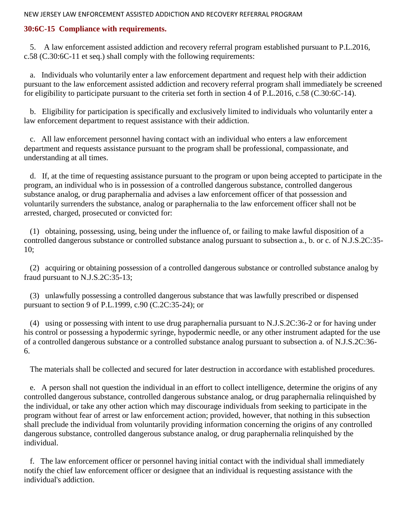### **30:6C-15 Compliance with requirements.**

 5. A law enforcement assisted addiction and recovery referral program established pursuant to P.L.2016, c.58 (C.30:6C-11 et seq.) shall comply with the following requirements:

 a. Individuals who voluntarily enter a law enforcement department and request help with their addiction pursuant to the law enforcement assisted addiction and recovery referral program shall immediately be screened for eligibility to participate pursuant to the criteria set forth in section 4 of P.L.2016, c.58 (C.30:6C-14).

 b. Eligibility for participation is specifically and exclusively limited to individuals who voluntarily enter a law enforcement department to request assistance with their addiction.

 c. All law enforcement personnel having contact with an individual who enters a law enforcement department and requests assistance pursuant to the program shall be professional, compassionate, and understanding at all times.

 d. If, at the time of requesting assistance pursuant to the program or upon being accepted to participate in the program, an individual who is in possession of a controlled dangerous substance, controlled dangerous substance analog, or drug paraphernalia and advises a law enforcement officer of that possession and voluntarily surrenders the substance, analog or paraphernalia to the law enforcement officer shall not be arrested, charged, prosecuted or convicted for:

 (1) obtaining, possessing, using, being under the influence of, or failing to make lawful disposition of a controlled dangerous substance or controlled substance analog pursuant to subsection a., b. or c. of N.J.S.2C:35- 10;

 (2) acquiring or obtaining possession of a controlled dangerous substance or controlled substance analog by fraud pursuant to N.J.S.2C:35-13;

 (3) unlawfully possessing a controlled dangerous substance that was lawfully prescribed or dispensed pursuant to section 9 of P.L.1999, c.90 (C.2C:35-24); or

 (4) using or possessing with intent to use drug paraphernalia pursuant to N.J.S.2C:36-2 or for having under his control or possessing a hypodermic syringe, hypodermic needle, or any other instrument adapted for the use of a controlled dangerous substance or a controlled substance analog pursuant to subsection a. of N.J.S.2C:36- 6.

The materials shall be collected and secured for later destruction in accordance with established procedures.

 e. A person shall not question the individual in an effort to collect intelligence, determine the origins of any controlled dangerous substance, controlled dangerous substance analog, or drug paraphernalia relinquished by the individual, or take any other action which may discourage individuals from seeking to participate in the program without fear of arrest or law enforcement action; provided, however, that nothing in this subsection shall preclude the individual from voluntarily providing information concerning the origins of any controlled dangerous substance, controlled dangerous substance analog, or drug paraphernalia relinquished by the individual.

 f. The law enforcement officer or personnel having initial contact with the individual shall immediately notify the chief law enforcement officer or designee that an individual is requesting assistance with the individual's addiction.